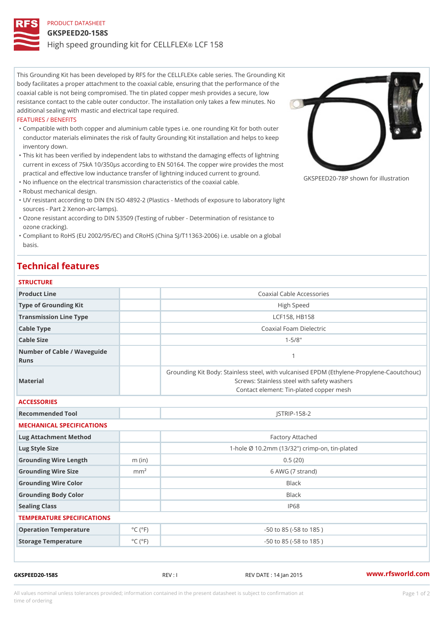# PRODUCT DATASHEET

### GKSPEED20-158S

## High speed grounding kit of drCCE E1L5L8FLEX

This Grounding Kit has been developed bழ R&BSI efosethiesC ET Lhle FG EoXunding Kit body facilitates a proper attachment to the coaxial cable, ensuring that the performance of the coaxial cable is not being compromised. The tin plated copper mesh provides a secure, low resistance contact to the cable outer conductor. The installation only takes a few minutes. No additional sealing with mastic and electrical tape required.

#### FEATURES / BENEFITS

- Compatible with both copper and aluminium cable types i.e. one rounding Kit for both outer " conductor materials  $\epsilon$ hiening kecs ffaulty Grounding Kit installation and helps to keep inventory down.
- This kit has been verified by independent labs to withstand the damaging effects of lightning " current in excess of 75kA 10/350µs according to EN 50164. The copper wire provides the most practical and effective low inductance transfer of lightning induced current to ground.
- "No influence on the electrical transmission characteristics of the coaxial cable.
- "Robust mechanical design.
- UV resistant according to DIN EN ISO 4892-2 (Plastics Methods of exposure to laboratory light " sources - Part 2 Xenon-arc-lamps).
- Ozone resistant according to DIN 53509 (Testing of rubber Determination of resistance to " ozone cracking).
- "Compliant to RoHS (EU 2002/95/EC) and CRoHS (China SJ/T11363-2006) i.e. usable on a globa basis.

# Technical features

## STRUCTURE

| Product Line                        |                             | Coaxial Cable Accessories                                                                                                                                 |  |  |
|-------------------------------------|-----------------------------|-----------------------------------------------------------------------------------------------------------------------------------------------------------|--|--|
| Type of Grounding Kit               |                             | High Speed                                                                                                                                                |  |  |
| Transmission Line Type              |                             | LCF158, HB158                                                                                                                                             |  |  |
| Cable Type                          |                             | Coaxial Foam Dielectric                                                                                                                                   |  |  |
| Cable Size                          |                             | $1 - 5/8$ "                                                                                                                                               |  |  |
| Number of Cable / Waveguide<br>Runs |                             | $\mathbf{1}$                                                                                                                                              |  |  |
| Material                            |                             | Grounding Kit Body: Stainless steel, with vulcanised EPDM (Ethy<br>Screws: Stainless steel with safety washers<br>Contact element: Tin-plated copper mesh |  |  |
| <b>ACCESSORIES</b>                  |                             |                                                                                                                                                           |  |  |
| Recommended Tool                    |                             | $JSTRIP-158-2$                                                                                                                                            |  |  |
| MECHANICAL SPECIFICATIONS           |                             |                                                                                                                                                           |  |  |
| Lug Attachment Method               |                             | Factory Attached                                                                                                                                          |  |  |
| Lug Style Size                      |                             | 1-hole Ø 10.2mm (13/32") crimp-on, tin-plated                                                                                                             |  |  |
| Grounding Wire Length               | $m$ (in)                    | 0.5(20)                                                                                                                                                   |  |  |
| Grounding Wire Size                 | m m <sup>2</sup>            | 6 AWG (7 strand)                                                                                                                                          |  |  |
| Grounding Wire Color                |                             | Black                                                                                                                                                     |  |  |
| Grounding Body Color                |                             | <b>Black</b>                                                                                                                                              |  |  |
| Sealing Class                       |                             | IP68                                                                                                                                                      |  |  |
| TEMPERATURE SPECIFICATIONS          |                             |                                                                                                                                                           |  |  |
| Operation Temperature               | $^{\circ}$ C ( $^{\circ}$ F | $-50$ to $85$ ( $-58$ to $185$ )                                                                                                                          |  |  |
| Storage Temperature                 | $^{\circ}$ C ( $^{\circ}$ F | $-50$ to $85$ ( $-58$ to $185$ )                                                                                                                          |  |  |

GKSPEED20-158S REV : I REV DATE : 14 Jan 2015 [www.](https://www.rfsworld.com)rfsworld.com